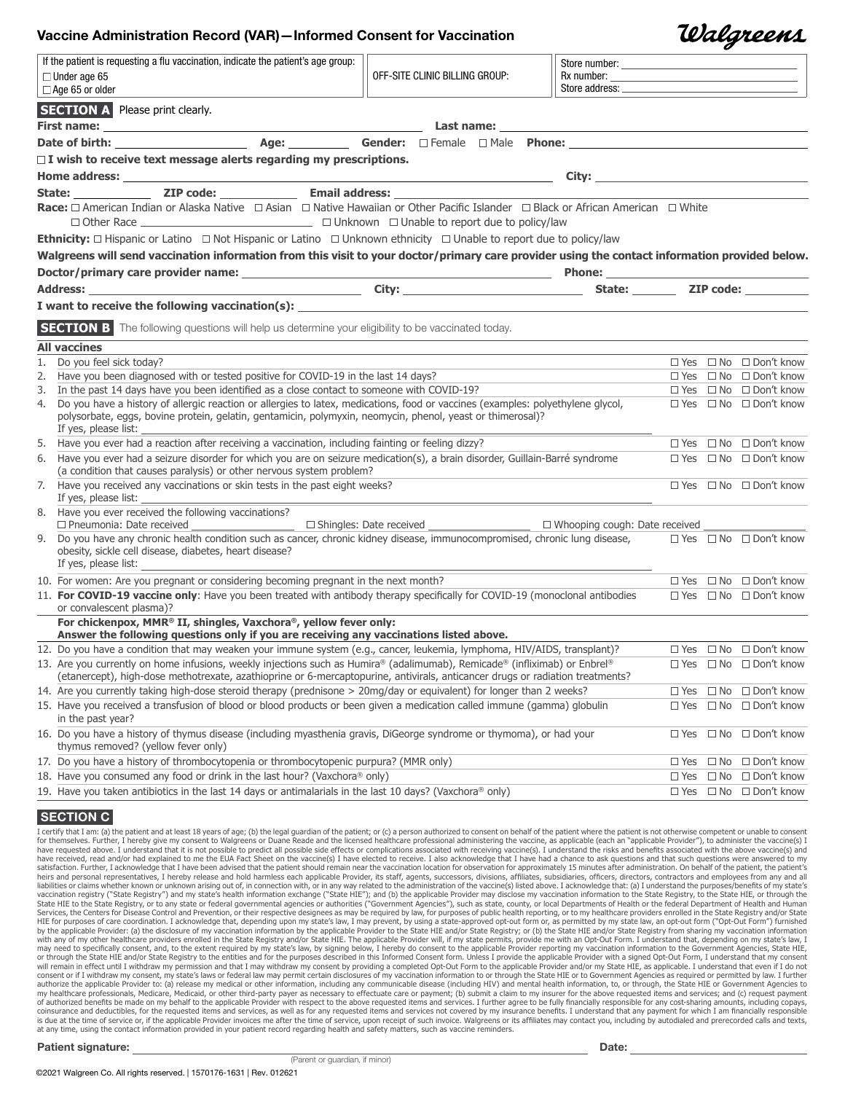### Vaccine Administration Record (VAR)—Informed Consent for Vaccination

|    |                                                                                                                                                                                                                               |                                |               | $\boldsymbol{\sigma}$ |                                        |
|----|-------------------------------------------------------------------------------------------------------------------------------------------------------------------------------------------------------------------------------|--------------------------------|---------------|-----------------------|----------------------------------------|
|    | If the patient is requesting a flu vaccination, indicate the patient's age group:                                                                                                                                             |                                |               |                       |                                        |
|    | $\Box$ Under age 65                                                                                                                                                                                                           | OFF-SITE CLINIC BILLING GROUP: |               |                       |                                        |
|    | $\Box$ Age 65 or older                                                                                                                                                                                                        |                                |               |                       |                                        |
|    | <b>SECTION A</b> Please print clearly.                                                                                                                                                                                        |                                |               |                       |                                        |
|    |                                                                                                                                                                                                                               |                                |               |                       |                                        |
|    |                                                                                                                                                                                                                               |                                |               |                       |                                        |
|    | $\Box$ I wish to receive text message alerts regarding my prescriptions.                                                                                                                                                      |                                |               |                       |                                        |
|    |                                                                                                                                                                                                                               |                                |               |                       |                                        |
|    |                                                                                                                                                                                                                               |                                |               |                       |                                        |
|    | Race: □ American Indian or Alaska Native □ Asian □ Native Hawaiian or Other Pacific Islander □ Black or African American □ White                                                                                              |                                |               |                       |                                        |
|    |                                                                                                                                                                                                                               |                                |               |                       |                                        |
|    |                                                                                                                                                                                                                               |                                |               |                       |                                        |
|    | <b>Ethnicity:</b> $\Box$ Hispanic or Latino $\Box$ Not Hispanic or Latino $\Box$ Unknown ethnicity $\Box$ Unable to report due to policy/law                                                                                  |                                |               |                       |                                        |
|    | Walgreens will send vaccination information from this visit to your doctor/primary care provider using the contact information provided below.                                                                                |                                |               |                       |                                        |
|    |                                                                                                                                                                                                                               |                                |               |                       |                                        |
|    | Address: ZIP code: 21P code:                                                                                                                                                                                                  |                                |               |                       |                                        |
|    | I want to receive the following vaccination(s): The matrix of the state of the state of the state of the state of the state of the state of the state of the state of the state of the state of the state of the state of the |                                |               |                       |                                        |
|    | SECTION B The following questions will help us determine your eligibility to be vaccinated today.                                                                                                                             |                                |               |                       |                                        |
|    |                                                                                                                                                                                                                               |                                |               |                       |                                        |
|    | <b>All vaccines</b><br>1. Do you feel sick today?                                                                                                                                                                             |                                |               |                       | $\Box$ Yes $\Box$ No $\Box$ Don't know |
| 2. | Have you been diagnosed with or tested positive for COVID-19 in the last 14 days?                                                                                                                                             |                                |               |                       | $\Box$ Yes $\Box$ No $\Box$ Don't know |
|    | 3. In the past 14 days have you been identified as a close contact to someone with COVID-19?                                                                                                                                  |                                |               |                       | $\Box$ Yes $\Box$ No $\Box$ Don't know |
|    | 4. Do you have a history of allergic reaction or allergies to latex, medications, food or vaccines (examples: polyethylene glycol,                                                                                            |                                |               |                       | $\Box$ Yes $\Box$ No $\Box$ Don't know |
|    | polysorbate, eggs, bovine protein, gelatin, gentamicin, polymyxin, neomycin, phenol, yeast or thimerosal)?                                                                                                                    |                                |               |                       |                                        |
|    | If yes, please list:                                                                                                                                                                                                          |                                |               |                       |                                        |
|    | 5. Have you ever had a reaction after receiving a vaccination, including fainting or feeling dizzy?                                                                                                                           |                                |               |                       | $\Box$ Yes $\Box$ No $\Box$ Don't know |
|    | 6. Have you ever had a seizure disorder for which you are on seizure medication(s), a brain disorder, Guillain-Barré syndrome                                                                                                 |                                |               |                       | □ Yes □ No □ Don't know                |
|    | (a condition that causes paralysis) or other nervous system problem?                                                                                                                                                          |                                |               |                       |                                        |
|    | 7. Have you received any vaccinations or skin tests in the past eight weeks?<br>If yes, please list:                                                                                                                          |                                |               |                       | $\Box$ Yes $\Box$ No $\Box$ Don't know |
|    | 8. Have you ever received the following vaccinations?                                                                                                                                                                         |                                |               |                       |                                        |
|    |                                                                                                                                                                                                                               |                                |               |                       |                                        |
|    | 9. Do you have any chronic health condition such as cancer, chronic kidney disease, immunocompromised, chronic lung disease,                                                                                                  |                                |               |                       | $\Box$ Yes $\Box$ No $\Box$ Don't know |
|    | obesity, sickle cell disease, diabetes, heart disease?                                                                                                                                                                        |                                |               |                       |                                        |
|    | If yes, please list:                                                                                                                                                                                                          |                                |               |                       |                                        |
|    | 10. For women: Are you pregnant or considering becoming pregnant in the next month?                                                                                                                                           |                                |               |                       | $\Box$ Yes $\Box$ No $\Box$ Don't know |
|    | 11. For COVID-19 vaccine only: Have you been treated with antibody therapy specifically for COVID-19 (monoclonal antibodies<br>or convalescent plasma)?                                                                       |                                |               |                       | $\Box$ Yes $\Box$ No $\Box$ Don't know |
|    | For chickenpox, MMR® II, shingles, Vaxchora®, yellow fever only:                                                                                                                                                              |                                |               |                       |                                        |
|    | Answer the following questions only if you are receiving any vaccinations listed above.                                                                                                                                       |                                |               |                       |                                        |
|    | 12. Do you have a condition that may weaken your immune system (e.g., cancer, leukemia, lymphoma, HIV/AIDS, transplant)?                                                                                                      |                                |               |                       | $\Box$ Yes $\Box$ No $\Box$ Don't know |
|    | 13. Are you currently on home infusions, weekly injections such as Humira® (adalimumab), Remicade® (infliximab) or Enbrel®                                                                                                    |                                |               |                       | □ Yes □ No □ Don't know                |
|    | (etanercept), high-dose methotrexate, azathioprine or 6-mercaptopurine, antivirals, anticancer drugs or radiation treatments?                                                                                                 |                                |               |                       |                                        |
|    | 14. Are you currently taking high-dose steroid therapy (prednisone > 20mg/day or equivalent) for longer than 2 weeks?                                                                                                         |                                |               |                       | $\Box$ Yes $\Box$ No $\Box$ Don't know |
|    | 15. Have you received a transfusion of blood or blood products or been given a medication called immune (gamma) globulin                                                                                                      |                                |               |                       | $\Box$ Yes $\Box$ No $\Box$ Don't know |
|    | in the past year?                                                                                                                                                                                                             |                                |               |                       |                                        |
|    | 16. Do you have a history of thymus disease (including myasthenia gravis, DiGeorge syndrome or thymoma), or had your<br>thymus removed? (yellow fever only)                                                                   |                                |               |                       | $\Box$ Yes $\Box$ No $\Box$ Don't know |
|    | 17. Do you have a history of thrombocytopenia or thrombocytopenic purpura? (MMR only)                                                                                                                                         |                                | $\Box$ Yes    |                       | $\Box$ No $\Box$ Don't know            |
|    | 18. Have you consumed any food or drink in the last hour? (Vaxchora® only)                                                                                                                                                    |                                | $\square$ Yes |                       | $\Box$ No $\Box$ Don't know            |
|    | 19. Have you taken antibiotics in the last 14 days or antimalarials in the last 10 days? (Vaxchora® only)                                                                                                                     |                                |               |                       | $\Box$ Yes $\Box$ No $\Box$ Don't know |
|    |                                                                                                                                                                                                                               |                                |               |                       |                                        |

### **SECTION C**

I certify that I am: (a) the patient and at least 18 years of age; (b) the legal quardian of the patient; or (c) a person authorized to consent on behalf of the patient where the patient is not otherwise competent or unabl for themselves. Further, I hereby give my consent to Walgreens or Duane Reade and the licensed healthcare professional administering the vaccine, as applicable (each an "applicable Provider"), to administer the vaccine(s) have received, read and/or had explained to me the EUA Fact Sheet on the vaccine(s) I have elected to receive. I also acknowledge that I have had a chance to ask questions and that such questions were answered to my<br>satisf heirs and personal representatives, I hereby release and hold harmless each applicable Provider, its staff, agents, successors, divisions, affiliates, subsidiaries, officers, directors, contractors and employees from any a liabilities or claims whether known or unknown arising out of, in connection with, or in any way related to the administration of the vaccine(s) listed above. I acknowledge that: (a) I understand the purposes/benefits of m vaccination registry ("State Registry") and my state's health information exchange ("State HIE"); and (b) the applicable Provider may disclose my vaccination information to the State Registry, to the State HIE, or through Services, the Centers for Disease Control and Prevention, or their respective designess as may be required by law, for purposes of care coordination. I acknowledge that, depending the specture of my state's for Disease Con or through the State HIE and/or State Registry to the entities and for the purposes described in this Informed Consent form. Unless I provide the applicable Provider with a signed Opt-Out Form, I understand that my consent will remain in effect until I withdraw my permission and that I may withdraw my consent by providing a completed Opt-Out Form to the applicable Provider and/or my State HIE, as applicable. I understand that even if I do no my healthcare professionals, Medicare, Medicaid, or other third-party payer as necessary to effectuate care or payment; (b) submit a claim to my insurer for the above requested items and services; and (c) request payment<br>o coinsurance and deductibles, for the requested items and services, as well as for any requested items and services not covered by my insurance benefits. I understand that any payment for which I am financially responsible<br> at any time, using the contact information provided in your patient record regarding health and safety matters, such as vaccine reminders.

Patient signature: Date: Date: Date: Date: Date: Date: Date: Date: Date: Date: Date: Date: Date: Date: Date: Date: Date: Date: Date: Date: Date: Date: Date: Date: Date: Date: Date: Date: Date: Date: Date: Date: Date: Date:

(Parent or guardian, if minor)

Walgreens